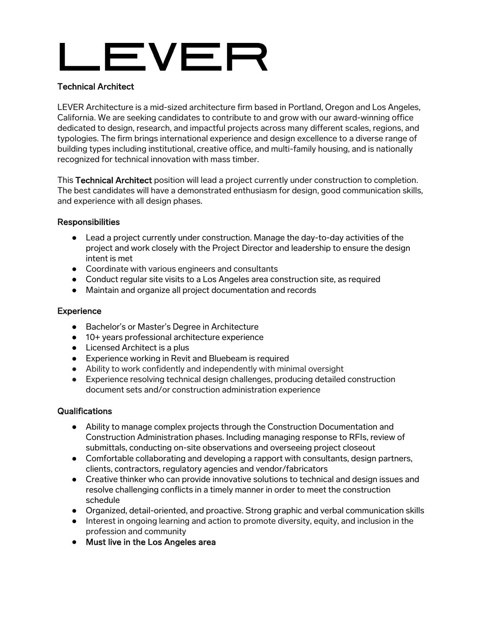# LEVER

## Technical Architect

LEVER Architecture is a mid-sized architecture firm based in Portland, Oregon and Los Angeles, California. We are seeking candidates to contribute to and grow with our award-winning office dedicated to design, research, and impactful projects across many different scales, regions, and typologies. The firm brings international experience and design excellence to a diverse range of building types including institutional, creative office, and multi-family housing, and is nationally recognized for technical innovation with mass timber.

This Technical Architect position will lead a project currently under construction to completion. The best candidates will have a demonstrated enthusiasm for design, good communication skills, and experience with all design phases.

#### Responsibilities

- Lead a project currently under construction. Manage the day-to-day activities of the project and work closely with the Project Director and leadership to ensure the design intent is met
- Coordinate with various engineers and consultants
- Conduct regular site visits to a Los Angeles area construction site, as reguired
- Maintain and organize all project documentation and records

#### **Experience**

- Bachelor's or Master's Degree in Architecture
- 10+ years professional architecture experience
- Licensed Architect is a plus
- Experience working in Revit and Bluebeam is required
- Ability to work confidently and independently with minimal oversight
- Experience resolving technical design challenges, producing detailed construction document sets and/or construction administration experience

#### **Qualifications**

- Ability to manage complex projects through the Construction Documentation and Construction Administration phases. Including managing response to RFIs, review of submittals, conducting on-site observations and overseeing project closeout
- Comfortable collaborating and developing a rapport with consultants, design partners, clients, contractors, regulatory agencies and vendor/fabricators
- Creative thinker who can provide innovative solutions to technical and design issues and resolve challenging conflicts in a timely manner in order to meet the construction schedule
- Organized, detail-oriented, and proactive. Strong graphic and verbal communication skills
- Interest in ongoing learning and action to promote diversity, equity, and inclusion in the profession and community
- Must live in the Los Angeles area